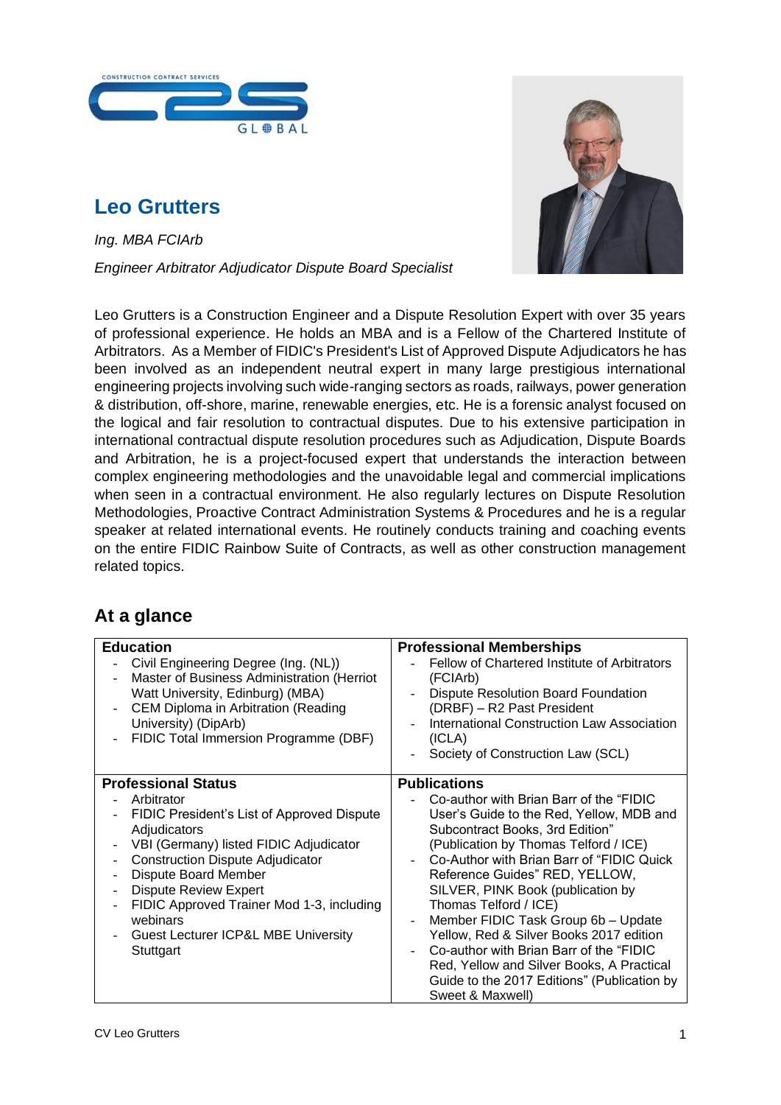

## **Leo Grutters**

*Ing. MBA FCIArb Engineer Arbitrator Adjudicator Dispute Board Specialist*



Leo Grutters is a Construction Engineer and a Dispute Resolution Expert with over 35 years of professional experience. He holds an MBA and is a Fellow of the Chartered Institute of Arbitrators. As a Member of FIDIC's President's List of Approved Dispute Adjudicators he has been involved as an independent neutral expert in many large prestigious international engineering projects involving such wide-ranging sectors as roads, railways, power generation & distribution, off-shore, marine, renewable energies, etc. He is a forensic analyst focused on the logical and fair resolution to contractual disputes. Due to his extensive participation in international contractual dispute resolution procedures such as Adjudication, Dispute Boards and Arbitration, he is a project-focused expert that understands the interaction between complex engineering methodologies and the unavoidable legal and commercial implications when seen in a contractual environment. He also regularly lectures on Dispute Resolution Methodologies, Proactive Contract Administration Systems & Procedures and he is a regular speaker at related international events. He routinely conducts training and coaching events on the entire FIDIC Rainbow Suite of Contracts, as well as other construction management related topics.

### **At a glance**

| <b>Professional Memberships</b><br>Fellow of Chartered Institute of Arbitrators<br>(FCIArb)<br><b>Dispute Resolution Board Foundation</b><br>(DRBF) - R2 Past President<br><b>International Construction Law Association</b><br>(ICLA)<br>Society of Construction Law (SCL)                                                                                                                                                                                                                                     |
|-----------------------------------------------------------------------------------------------------------------------------------------------------------------------------------------------------------------------------------------------------------------------------------------------------------------------------------------------------------------------------------------------------------------------------------------------------------------------------------------------------------------|
| <b>Publications</b><br>Co-author with Brian Barr of the "FIDIC"<br>User's Guide to the Red, Yellow, MDB and<br>Subcontract Books, 3rd Edition"<br>(Publication by Thomas Telford / ICE)<br>Co-Author with Brian Barr of "FIDIC Quick<br>Reference Guides" RED, YELLOW,<br>SILVER, PINK Book (publication by<br>Thomas Telford / ICE)<br>Member FIDIC Task Group 6b - Update<br>Yellow, Red & Silver Books 2017 edition<br>Co-author with Brian Barr of the "FIDIC"<br>Red, Yellow and Silver Books, A Practical |
|                                                                                                                                                                                                                                                                                                                                                                                                                                                                                                                 |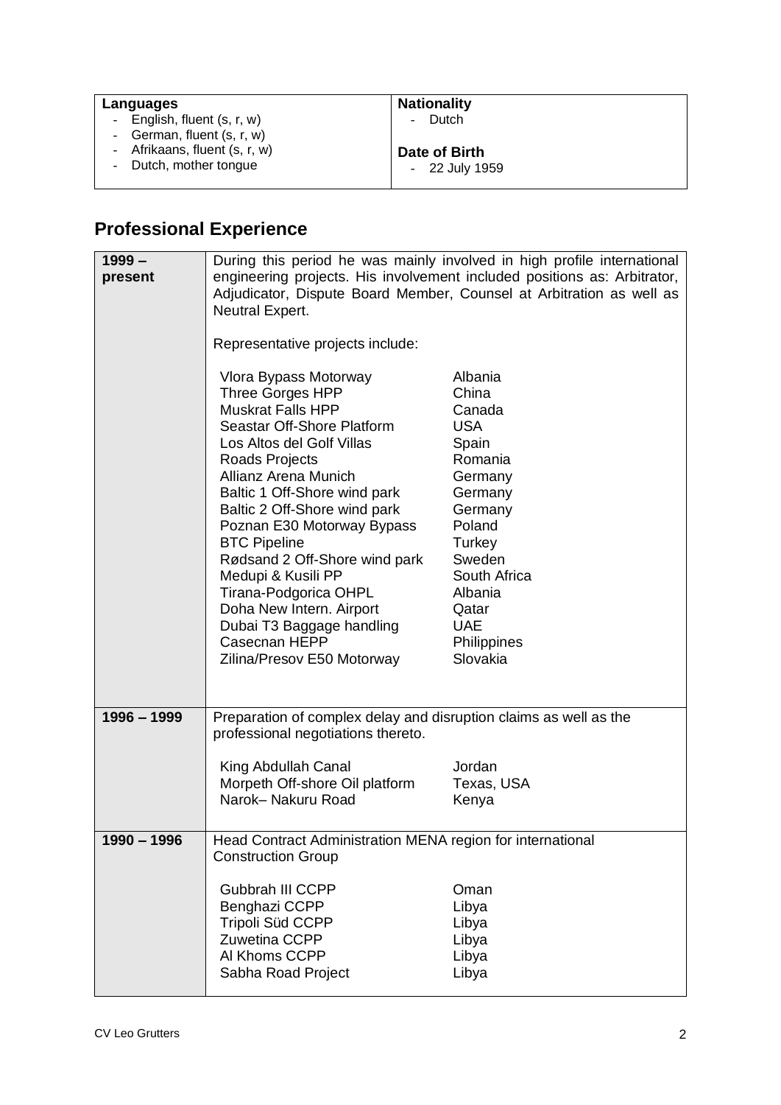| Languages                                                   | <b>Nationality</b>               |
|-------------------------------------------------------------|----------------------------------|
| - English, fluent $(s, r, w)$<br>- German, fluent (s, r, w) | - Dutch                          |
| - Afrikaans, fluent (s, r, w)<br>- Dutch, mother tongue     | Date of Birth<br>$-22$ July 1959 |

# **Professional Experience**

| $1999 -$<br>present | Neutral Expert.<br>Representative projects include:<br>Vlora Bypass Motorway<br><b>Three Gorges HPP</b><br><b>Muskrat Falls HPP</b><br>Seastar Off-Shore Platform<br>Los Altos del Golf Villas<br>Roads Projects<br>Allianz Arena Munich<br>Baltic 1 Off-Shore wind park<br>Baltic 2 Off-Shore wind park<br>Poznan E30 Motorway Bypass<br><b>BTC Pipeline</b><br>Rødsand 2 Off-Shore wind park<br>Medupi & Kusili PP<br>Tirana-Podgorica OHPL<br>Doha New Intern. Airport<br>Dubai T3 Baggage handling<br>Casecnan HEPP<br>Zilina/Presov E50 Motorway | During this period he was mainly involved in high profile international<br>engineering projects. His involvement included positions as: Arbitrator,<br>Adjudicator, Dispute Board Member, Counsel at Arbitration as well as<br>Albania<br>China<br>Canada<br><b>USA</b><br>Spain<br>Romania<br>Germany<br>Germany<br>Germany<br>Poland<br>Turkey<br>Sweden<br>South Africa<br>Albania<br>Qatar<br><b>UAE</b><br>Philippines<br>Slovakia |
|---------------------|-------------------------------------------------------------------------------------------------------------------------------------------------------------------------------------------------------------------------------------------------------------------------------------------------------------------------------------------------------------------------------------------------------------------------------------------------------------------------------------------------------------------------------------------------------|-----------------------------------------------------------------------------------------------------------------------------------------------------------------------------------------------------------------------------------------------------------------------------------------------------------------------------------------------------------------------------------------------------------------------------------------|
| 1996 - 1999         | Preparation of complex delay and disruption claims as well as the<br>professional negotiations thereto.<br>King Abdullah Canal<br>Morpeth Off-shore Oil platform<br>Narok- Nakuru Road                                                                                                                                                                                                                                                                                                                                                                | Jordan<br>Texas, USA<br>Kenya                                                                                                                                                                                                                                                                                                                                                                                                           |
| $1990 - 1996$       | Head Contract Administration MENA region for international<br><b>Construction Group</b><br>Gubbrah III CCPP<br>Benghazi CCPP<br>Tripoli Süd CCPP<br>Zuwetina CCPP<br>Al Khoms CCPP<br>Sabha Road Project                                                                                                                                                                                                                                                                                                                                              | Oman<br>Libya<br>Libya<br>Libya<br>Libya<br>Libya                                                                                                                                                                                                                                                                                                                                                                                       |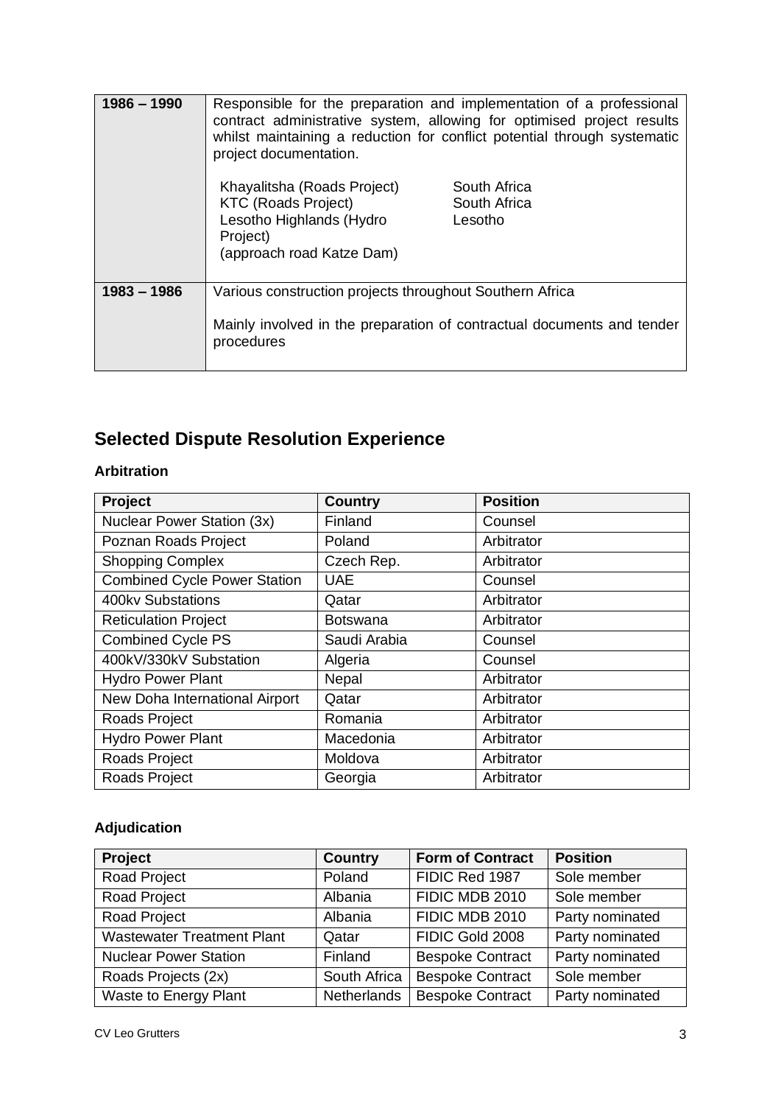| $1986 - 1990$ | Responsible for the preparation and implementation of a professional<br>contract administrative system, allowing for optimised project results<br>whilst maintaining a reduction for conflict potential through systematic<br>project documentation. |                                                                        |  |
|---------------|------------------------------------------------------------------------------------------------------------------------------------------------------------------------------------------------------------------------------------------------------|------------------------------------------------------------------------|--|
|               | Khayalitsha (Roads Project)<br><b>KTC (Roads Project)</b><br>Lesotho Highlands (Hydro<br>Project)<br>(approach road Katze Dam)                                                                                                                       | South Africa<br>South Africa<br>Lesotho                                |  |
| $1983 - 1986$ | Various construction projects throughout Southern Africa<br>procedures                                                                                                                                                                               | Mainly involved in the preparation of contractual documents and tender |  |

# **Selected Dispute Resolution Experience**

#### **Arbitration**

| Project                             | <b>Country</b> | <b>Position</b> |
|-------------------------------------|----------------|-----------------|
| <b>Nuclear Power Station (3x)</b>   | Finland        | Counsel         |
| Poznan Roads Project                | Poland         | Arbitrator      |
| <b>Shopping Complex</b>             | Czech Rep.     | Arbitrator      |
| <b>Combined Cycle Power Station</b> | <b>UAE</b>     | Counsel         |
| 400kv Substations                   | Qatar          | Arbitrator      |
| <b>Reticulation Project</b>         | Botswana       | Arbitrator      |
| <b>Combined Cycle PS</b>            | Saudi Arabia   | Counsel         |
| 400kV/330kV Substation              | Algeria        | Counsel         |
| <b>Hydro Power Plant</b>            | Nepal          | Arbitrator      |
| New Doha International Airport      | Qatar          | Arbitrator      |
| Roads Project                       | Romania        | Arbitrator      |
| <b>Hydro Power Plant</b>            | Macedonia      | Arbitrator      |
| Roads Project                       | Moldova        | Arbitrator      |
| Roads Project                       | Georgia        | Arbitrator      |

### **Adjudication**

| Project                           | <b>Country</b>     | <b>Form of Contract</b> | <b>Position</b> |
|-----------------------------------|--------------------|-------------------------|-----------------|
| Road Project                      | Poland             | FIDIC Red 1987          | Sole member     |
| <b>Road Project</b>               | Albania            | FIDIC MDB 2010          | Sole member     |
| Road Project                      | Albania            | FIDIC MDB 2010          | Party nominated |
| <b>Wastewater Treatment Plant</b> | Qatar              | FIDIC Gold 2008         | Party nominated |
| <b>Nuclear Power Station</b>      | Finland            | <b>Bespoke Contract</b> | Party nominated |
| Roads Projects (2x)               | South Africa       | <b>Bespoke Contract</b> | Sole member     |
| Waste to Energy Plant             | <b>Netherlands</b> | <b>Bespoke Contract</b> | Party nominated |